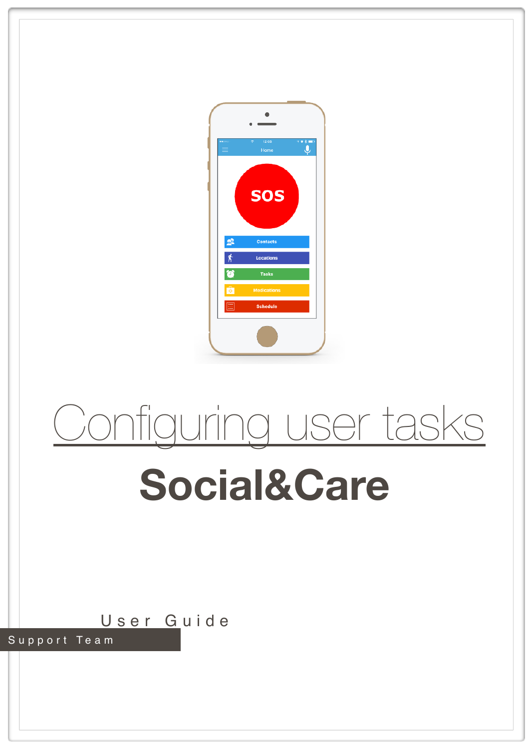

# Configuring user tasks

## **Social&Care**

User Guide

Support Team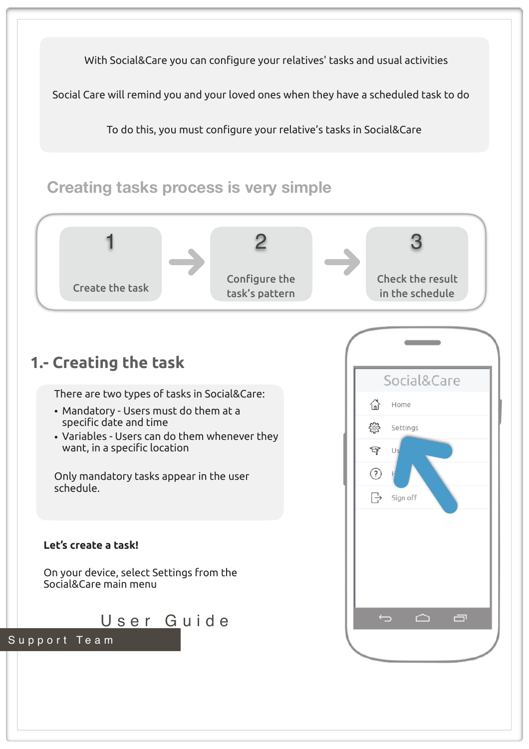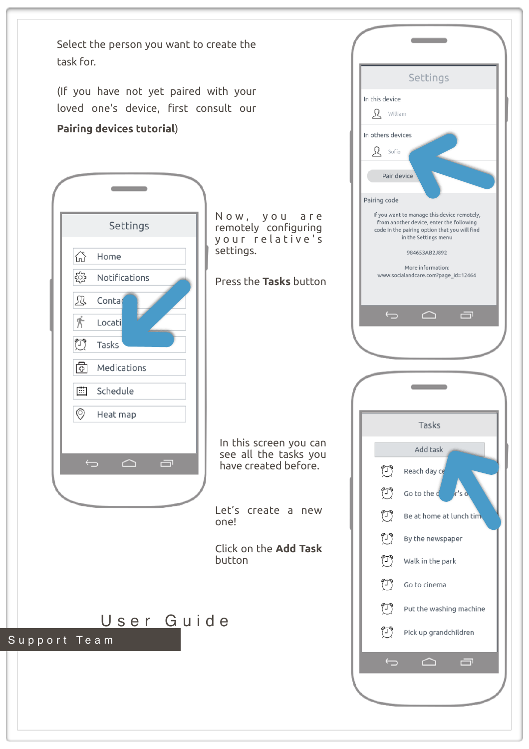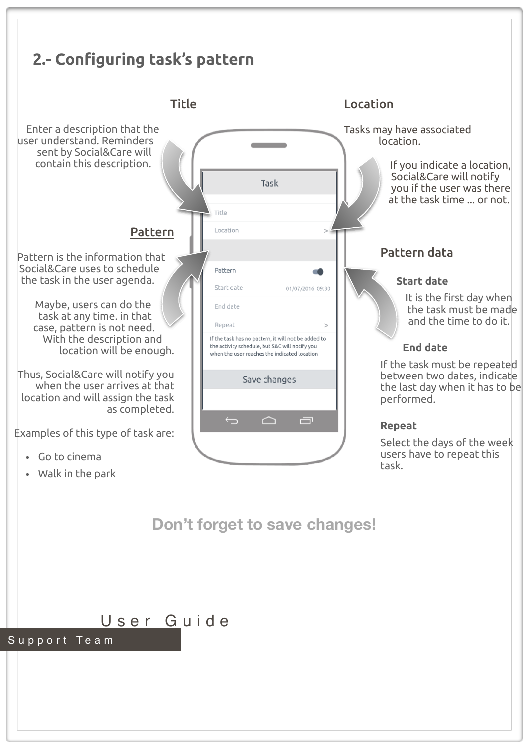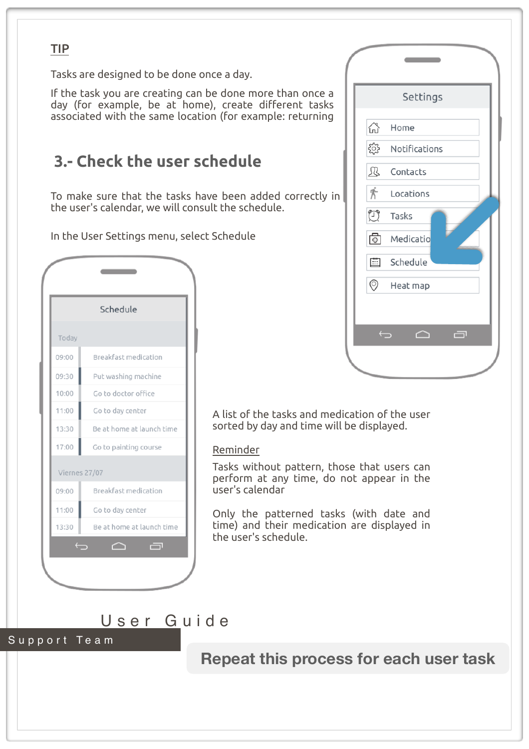#### TIP

Tasks are designed to be done once a day.

If the task you are creating can be done more than once a day (for example, be at home), create different tasks associated with the same location (for example: returning

### **3.- Check the user schedule**

To make sure that the tasks have been added correctly in the user's calendar, we will consult the schedule.

In the User Settings menu, select Schedule

|                   | Schedule                  |
|-------------------|---------------------------|
| Today             |                           |
| 09:00             | Breakfast medication      |
| 09:30             | Put washing machine       |
| 10:00             | Go to doctor office       |
| 11:00             | Go to day center          |
| 13:30             | Be at home at launch time |
| 17:00             | Go to painting course     |
| Viernes 27/07     |                           |
| 09:00             | Breakfast medication      |
| 11:00             | Go to day center          |
| 13:30             | Be at home at launch time |
| $\hookrightarrow$ | 一<br>◠                    |

|                | Settings      |
|----------------|---------------|
| 산              | Home          |
| ૹૢ૾ૺ           | Notifications |
| 囚              | Contacts      |
| 齐              | Locations     |
| $\bigcirc$     | Tasks         |
| 6              | Medicatio     |
| 圖              | Schedule      |
| $\circledcirc$ | Heat map      |
|                |               |
| $\bigoplus$    | 一<br>◠        |

A list of the tasks and medication of the user sorted by day and time will be displayed.

#### Reminder

Tasks without pattern, those that users can perform at any time, do not appear in the user's calendar

Only the patterned tasks (with date and time) and their medication are displayed in the user's schedule.

User Guide



**Repeat this process for each user task**